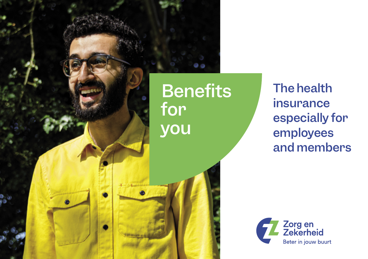

ن و

**Benefits** 

The health insurance especially for employees and members